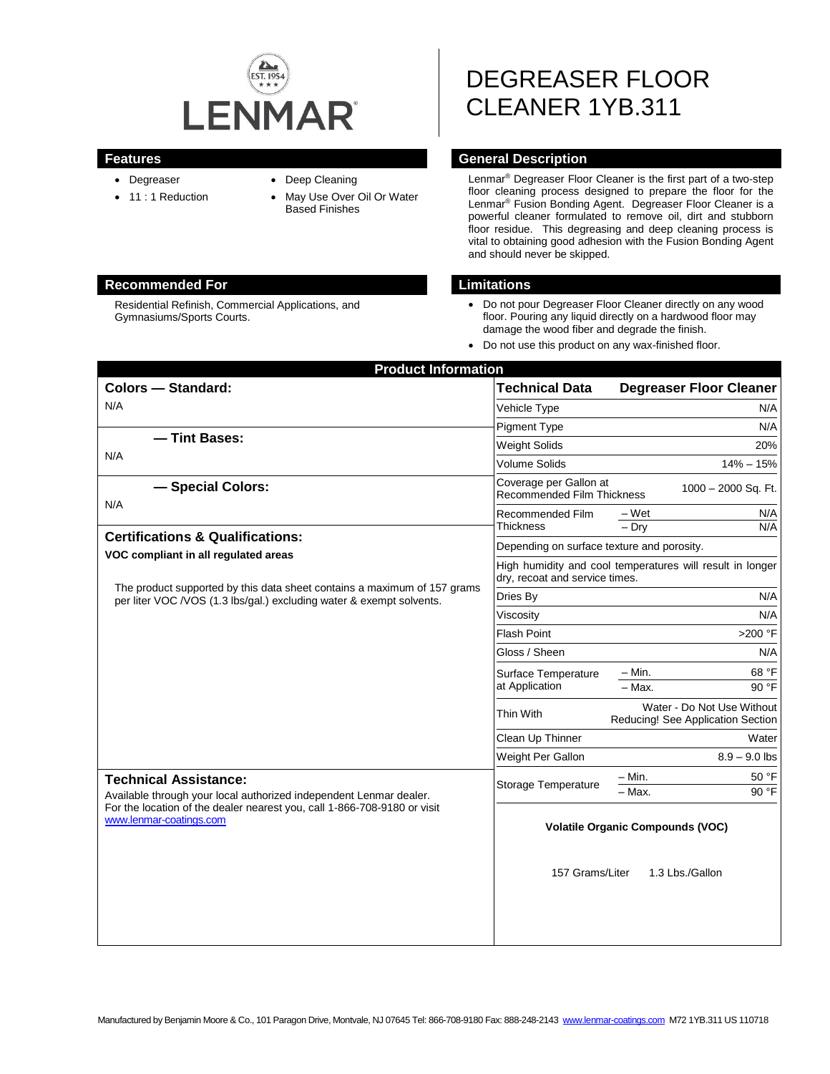

Residential Refinish, Commercial Applications, and

- Degreaser
- 11 : 1 Reduction

Gymnasiums/Sports Courts.

- Deep Cleaning
- May Use Over Oil Or Water Based Finishes

# DEGREASER FLOOR CLEANER 1YB.311

#### **Features General Description**

Lenmar® Degreaser Floor Cleaner is the first part of a two-step floor cleaning process designed to prepare the floor for the Lenmar® Fusion Bonding Agent. Degreaser Floor Cleaner is a powerful cleaner formulated to remove oil, dirt and stubborn floor residue. This degreasing and deep cleaning process is vital to obtaining good adhesion with the Fusion Bonding Agent and should never be skipped.

#### **Recommended For Limitations**

- Do not pour Degreaser Floor Cleaner directly on any wood floor. Pouring any liquid directly on a hardwood floor may damage the wood fiber and degrade the finish.
- Do not use this product on any wax-finished floor.

| <b>Technical Data</b>                                                                                                                                                                                        | <b>Degreaser Floor Cleaner</b>                                  |
|--------------------------------------------------------------------------------------------------------------------------------------------------------------------------------------------------------------|-----------------------------------------------------------------|
| Vehicle Type                                                                                                                                                                                                 | N/A                                                             |
| <b>Pigment Type</b>                                                                                                                                                                                          | N/A                                                             |
| <b>Weight Solids</b>                                                                                                                                                                                         | 20%                                                             |
| <b>Volume Solids</b>                                                                                                                                                                                         | $14\% - 15\%$                                                   |
| Coverage per Gallon at<br><b>Recommended Film Thickness</b>                                                                                                                                                  | 1000 - 2000 Sq. Ft.                                             |
| Recommended Film<br><b>Thickness</b>                                                                                                                                                                         | – Wet<br>N/A<br>N/A<br>$-$ Dry                                  |
| Depending on surface texture and porosity.                                                                                                                                                                   |                                                                 |
| dry, recoat and service times.                                                                                                                                                                               | High humidity and cool temperatures will result in longer       |
| Dries By                                                                                                                                                                                                     | N/A                                                             |
| Viscosity                                                                                                                                                                                                    | N/A                                                             |
| <b>Flash Point</b>                                                                                                                                                                                           | >200 °F                                                         |
| Gloss / Sheen                                                                                                                                                                                                | N/A                                                             |
| Surface Temperature                                                                                                                                                                                          | $-$ Min.<br>68 °F                                               |
| at Application                                                                                                                                                                                               | 90 °F<br>$-$ Max.                                               |
| Thin With                                                                                                                                                                                                    | Water - Do Not Use Without<br>Reducing! See Application Section |
| Clean Up Thinner                                                                                                                                                                                             | Water                                                           |
| Weight Per Gallon                                                                                                                                                                                            | $8.9 - 9.0$ lbs                                                 |
| <b>Technical Assistance:</b><br><b>Storage Temperature</b><br>Available through your local authorized independent Lenmar dealer.<br>For the location of the dealer nearest you, call 1-866-708-9180 or visit | $-$ Min.<br>50 °F                                               |
|                                                                                                                                                                                                              | - Max.<br>90 °F                                                 |
| 157 Grams/Liter                                                                                                                                                                                              | <b>Volatile Organic Compounds (VOC)</b><br>1.3 Lbs./Gallon      |
|                                                                                                                                                                                                              |                                                                 |